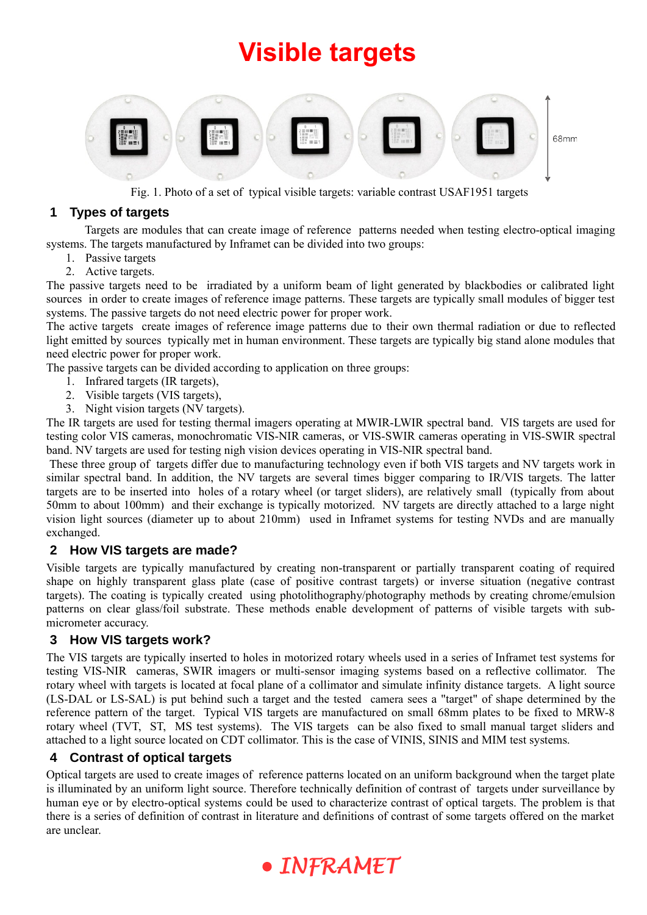# **Visible targets**



Fig. 1. Photo of a set of typical visible targets: variable contrast USAF1951 targets

## **1 Types of targets**

Targets are modules that can create image of reference patterns needed when testing electro-optical imaging systems. The targets manufactured by Inframet can be divided into two groups:

- 1. Passive targets
- 2. Active targets.

The passive targets need to be irradiated by a uniform beam of light generated by blackbodies or calibrated light sources in order to create images of reference image patterns. These targets are typically small modules of bigger test systems. The passive targets do not need electric power for proper work.

The active targets create images of reference image patterns due to their own thermal radiation or due to reflected light emitted by sources typically met in human environment. These targets are typically big stand alone modules that need electric power for proper work.

The passive targets can be divided according to application on three groups:

- 1. Infrared targets (IR targets),
- 2. Visible targets (VIS targets),
- 3. Night vision targets (NV targets).

The IR targets are used for testing thermal imagers operating at MWIR-LWIR spectral band. VIS targets are used for testing color VIS cameras, monochromatic VIS-NIR cameras, or VIS-SWIR cameras operating in VIS-SWIR spectral band. NV targets are used for testing nigh vision devices operating in VIS-NIR spectral band.

 These three group of targets differ due to manufacturing technology even if both VIS targets and NV targets work in similar spectral band. In addition, the NV targets are several times bigger comparing to IR/VIS targets. The latter targets are to be inserted into holes of a rotary wheel (or target sliders), are relatively small (typically from about 50mm to about 100mm) and their exchange is typically motorized. NV targets are directly attached to a large night vision light sources (diameter up to about 210mm) used in Inframet systems for testing NVDs and are manually exchanged.

## **2 How VIS targets are made?**

Visible targets are typically manufactured by creating non-transparent or partially transparent coating of required shape on highly transparent glass plate (case of positive contrast targets) or inverse situation (negative contrast targets). The coating is typically created using photolithography/photography methods by creating chrome/emulsion patterns on clear glass/foil substrate. These methods enable development of patterns of visible targets with submicrometer accuracy.

## **3 How VIS targets work?**

The VIS targets are typically inserted to holes in motorized rotary wheels used in a series of Inframet test systems for testing VIS-NIR cameras, SWIR imagers or multi-sensor imaging systems based on a reflective collimator. The rotary wheel with targets is located at focal plane of a collimator and simulate infinity distance targets. A light source (LS-DAL or LS-SAL) is put behind such a target and the tested camera sees a "target" of shape determined by the reference pattern of the target. Typical VIS targets are manufactured on small 68mm plates to be fixed to MRW-8 rotary wheel (TVT, ST, MS test systems). The VIS targets can be also fixed to small manual target sliders and attached to a light source located on CDT collimator. This is the case of VINIS, SINIS and MIM test systems.

## **4 Contrast of optical targets**

Optical targets are used to create images of reference patterns located on an uniform background when the target plate is illuminated by an uniform light source. Therefore technically definition of contrast of targets under surveillance by human eye or by electro-optical systems could be used to characterize contrast of optical targets. The problem is that there is a series of definition of contrast in literature and definitions of contrast of some targets offered on the market are unclear.

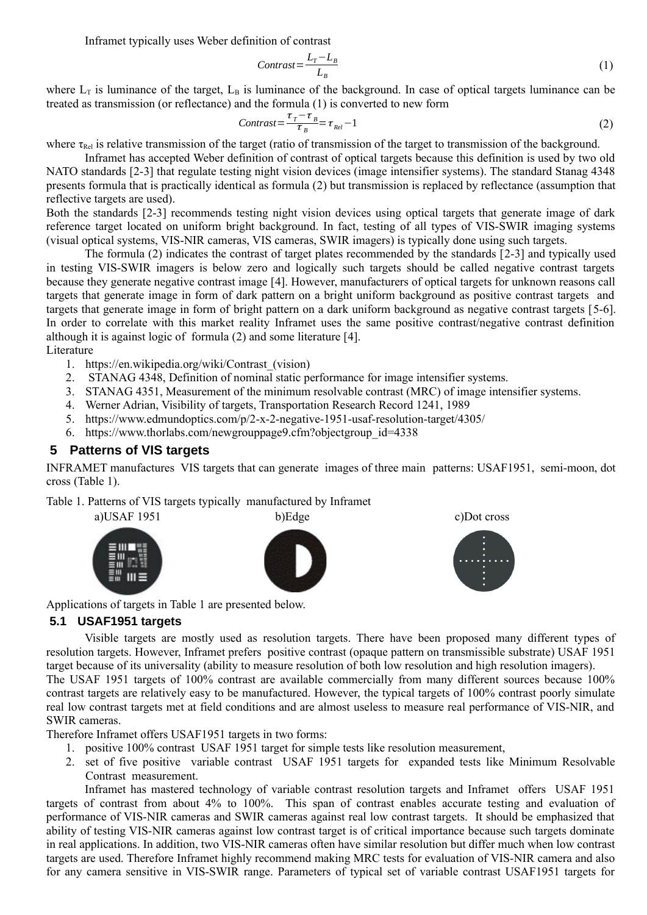Inframet typically uses Weber definition of contrast

<span id="page-1-1"></span>
$$
Contrast = \frac{L_T - L_B}{L_B} \tag{1}
$$

where  $L_T$  is luminance of the target.  $L_B$  is luminance of the background. In case of optical targets luminance can be treated as transmission (or reflectance) and the formula (1) is converted to new form

$$
Contrast = \frac{\tau_T - \tau_B}{\tau_B} = \tau_{Rel} - 1 \tag{2}
$$

where  $\tau_{\text{Rel}}$  is relative transmission of the target (ratio of transmission of the target to transmission of the background.

Inframet has accepted Weber definition of contrast of optical targets because this definition is used by two old NATO standards [[2](#page-1-5)[-3\]](#page-1-4) that regulate testing night vision devices (image intensifier systems). The standard Stanag 4348 presents formula that is practically identical as formula ([2](#page-1-1)) but transmission is replaced by reflectance (assumption that reflective targets are used).

Both the standards [[2](#page-1-5)[-3\]](#page-1-4) recommends testing night vision devices using optical targets that generate image of dark reference target located on uniform bright background. In fact, testing of all types of VIS-SWIR imaging systems (visual optical systems, VIS-NIR cameras, VIS cameras, SWIR imagers) is typically done using such targets.

The formula [\(2\)](#page-1-1) indicates the contrast of target plates recommended by the standards [[2](#page-1-5)[-3](#page-1-4)] and typically used in testing VIS-SWIR imagers is below zero and logically such targets should be called negative contrast targets because they generate negative contrast image [[4\]](#page-1-0). However, manufacturers of optical targets for unknown reasons call targets that generate image in form of dark pattern on a bright uniform background as positive contrast targets and targets that generate image in form of bright pattern on a dark uniform background as negative contrast targets [[5](#page-1-3)[-6\]](#page-1-2). In order to correlate with this market reality Inframet uses the same positive contrast/negative contrast definition although it is against logic of formula [\(2\)](#page-1-1) and some literature [[4\]](#page-1-0).

Literature

- 1. https://en.wikipedia.org/wiki/Contrast\_(vision)
- <span id="page-1-5"></span>2. STANAG 4348, Definition of nominal static performance for image intensifier systems.
- <span id="page-1-4"></span>3. STANAG 4351, Measurement of the minimum resolvable contrast (MRC) of image intensifier systems.
- <span id="page-1-0"></span>4. Werner Adrian, Visibility of targets, Transportation Research Record 1241, 1989
- <span id="page-1-3"></span>5. https://www.edmundoptics.com/p/2-x-2-negative-1951-usaf-resolution-target/4305/
- <span id="page-1-2"></span>6. https://www.thorlabs.com/newgrouppage9.cfm?objectgroup\_id=4338

#### **5 Patterns of VIS targets**

INFRAMET manufactures VIS targets that can generate images of three main patterns: USAF1951, semi-moon, dot cross (Table 1).

Table 1. Patterns of VIS targets typically manufactured by Inframet



Applications of targets in Table 1 are presented below.

#### **5.1 USAF1951 targets**

Visible targets are mostly used as resolution targets. There have been proposed many different types of resolution targets. However, Inframet prefers positive contrast (opaque pattern on transmissible substrate) USAF 1951 target because of its universality (ability to measure resolution of both low resolution and high resolution imagers).

The USAF 1951 targets of 100% contrast are available commercially from many different sources because 100% contrast targets are relatively easy to be manufactured. However, the typical targets of 100% contrast poorly simulate real low contrast targets met at field conditions and are almost useless to measure real performance of VIS-NIR, and SWIR cameras.

Therefore Inframet offers USAF1951 targets in two forms:

- 1. positive 100% contrast USAF 1951 target for simple tests like resolution measurement,
- 2. set of five positive variable contrast USAF 1951 targets for expanded tests like Minimum Resolvable Contrast measurement.

Inframet has mastered technology of variable contrast resolution targets and Inframet offers USAF 1951 targets of contrast from about 4% to 100%. This span of contrast enables accurate testing and evaluation of performance of VIS-NIR cameras and SWIR cameras against real low contrast targets. It should be emphasized that ability of testing VIS-NIR cameras against low contrast target is of critical importance because such targets dominate in real applications. In addition, two VIS-NIR cameras often have similar resolution but differ much when low contrast targets are used. Therefore Inframet highly recommend making MRC tests for evaluation of VIS-NIR camera and also for any camera sensitive in VIS-SWIR range. Parameters of typical set of variable contrast USAF1951 targets for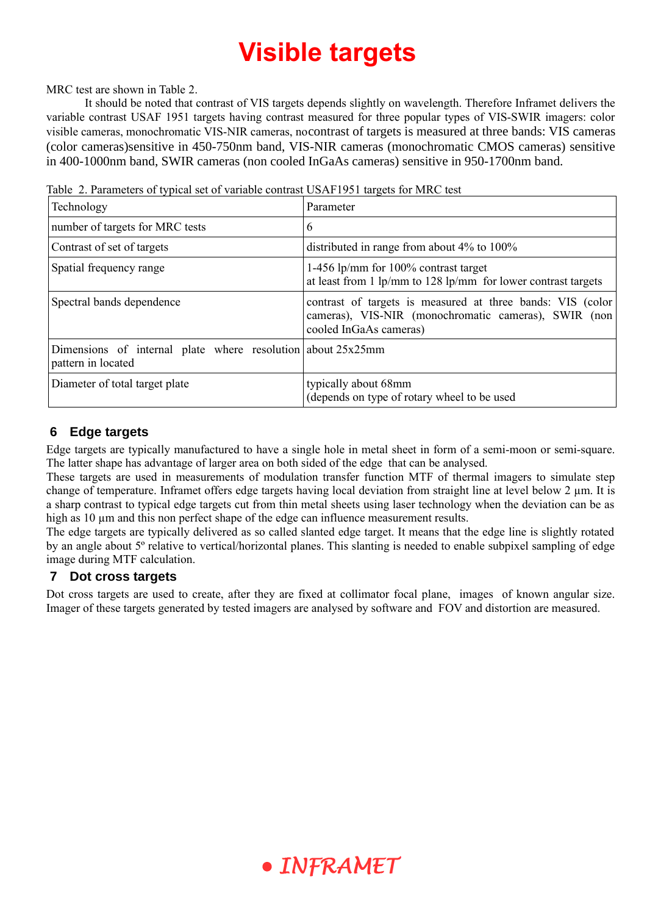# **Visible targets**

MRC test are shown in Table [2](#page-2-0).

It should be noted that contrast of VIS targets depends slightly on wavelength. Therefore Inframet delivers the variable contrast USAF 1951 targets having contrast measured for three popular types of VIS-SWIR imagers: color visible cameras, monochromatic VIS-NIR cameras, nocontrast of targets is measured at three bands: VIS cameras (color cameras)sensitive in 450-750nm band, VIS-NIR cameras (monochromatic CMOS cameras) sensitive in 400-1000nm band, SWIR cameras (non cooled InGaAs cameras) sensitive in 950-1700nm band.

| Technology                                                                           | Parameter                                                                                                                                     |
|--------------------------------------------------------------------------------------|-----------------------------------------------------------------------------------------------------------------------------------------------|
| number of targets for MRC tests                                                      | 6                                                                                                                                             |
| Contrast of set of targets                                                           | distributed in range from about $4\%$ to $100\%$                                                                                              |
| Spatial frequency range                                                              | 1-456 lp/mm for 100% contrast target<br>at least from 1 lp/mm to 128 lp/mm for lower contrast targets                                         |
| Spectral bands dependence                                                            | contrast of targets is measured at three bands: VIS (color)<br>cameras), VIS-NIR (monochromatic cameras), SWIR (non<br>cooled InGaAs cameras) |
| Dimensions of internal plate where resolution about $25x25$ mm<br>pattern in located |                                                                                                                                               |
| Diameter of total target plate                                                       | typically about 68mm<br>(depends on type of rotary wheel to be used                                                                           |

<span id="page-2-0"></span>Table 2. Parameters of typical set of variable contrast USAF1951 targets for MRC test

## **6 Edge targets**

Edge targets are typically manufactured to have a single hole in metal sheet in form of a semi-moon or semi-square. The latter shape has advantage of larger area on both sided of the edge that can be analysed.

These targets are used in measurements of modulation transfer function MTF of thermal imagers to simulate step change of temperature. Inframet offers edge targets having local deviation from straight line at level below  $2 \mu m$ . It is a sharp contrast to typical edge targets cut from thin metal sheets using laser technology when the deviation can be as high as 10 µm and this non perfect shape of the edge can influence measurement results.

The edge targets are typically delivered as so called slanted edge target. It means that the edge line is slightly rotated by an angle about 5º relative to vertical/horizontal planes. This slanting is needed to enable subpixel sampling of edge image during MTF calculation.

## **7 Dot cross targets**

Dot cross targets are used to create, after they are fixed at collimator focal plane, images of known angular size. Imager of these targets generated by tested imagers are analysed by software and FOV and distortion are measured.